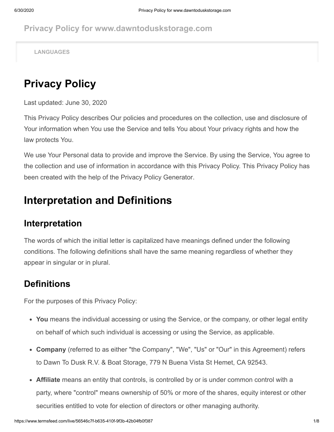#### **Privacy Policy for www.dawntoduskstorage.com**

**LANGUAGES**

## **Privacy Policy**

Last updated: June 30, 2020

This Privacy Policy describes Our policies and procedures on the collection, use and disclosure of Your information when You use the Service and tells You about Your privacy rights and how the law protects You.

We use Your Personal data to provide and improve the Service. By using the Service, You agree to the collection and use of information in accordance with this Privacy Policy. This Privacy Policy has been created with the help of the [Privacy Policy Generator.](https://www.termsfeed.com/privacy-policy-generator/)

### **Interpretation and Definitions**

### **Interpretation**

The words of which the initial letter is capitalized have meanings defined under the following conditions. The following definitions shall have the same meaning regardless of whether they appear in singular or in plural.

### **Definitions**

For the purposes of this Privacy Policy:

- **You** means the individual accessing or using the Service, or the company, or other legal entity on behalf of which such individual is accessing or using the Service, as applicable.
- **Company** (referred to as either "the Company", "We", "Us" or "Our" in this Agreement) refers to Dawn To Dusk R.V. & Boat Storage, 779 N Buena Vista St Hemet, CA 92543.
- **Affiliate** means an entity that controls, is controlled by or is under common control with a party, where "control" means ownership of 50% or more of the shares, equity interest or other securities entitled to vote for election of directors or other managing authority.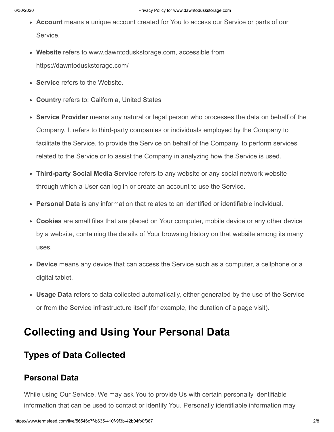- **Account** means a unique account created for You to access our Service or parts of our Service.
- **Website** refers to www.dawntoduskstorage.com, accessible from <https://dawntoduskstorage.com/>
- **Service** refers to the Website.
- **Country** refers to: California, United States
- **Service Provider** means any natural or legal person who processes the data on behalf of the Company. It refers to third-party companies or individuals employed by the Company to facilitate the Service, to provide the Service on behalf of the Company, to perform services related to the Service or to assist the Company in analyzing how the Service is used.
- **Third-party Social Media Service** refers to any website or any social network website through which a User can log in or create an account to use the Service.
- **Personal Data** is any information that relates to an identified or identifiable individual.
- **Cookies** are small files that are placed on Your computer, mobile device or any other device by a website, containing the details of Your browsing history on that website among its many uses.
- **Device** means any device that can access the Service such as a computer, a cellphone or a digital tablet.
- **Usage Data** refers to data collected automatically, either generated by the use of the Service or from the Service infrastructure itself (for example, the duration of a page visit).

# **Collecting and Using Your Personal Data**

### **Types of Data Collected**

### **Personal Data**

While using Our Service, We may ask You to provide Us with certain personally identifiable information that can be used to contact or identify You. Personally identifiable information may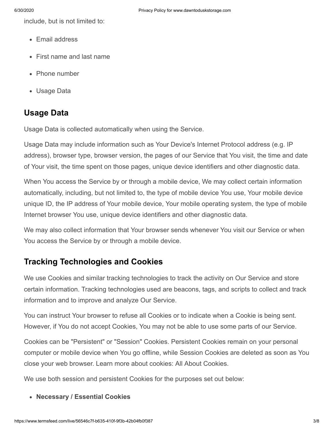include, but is not limited to:

- Email address
- First name and last name
- Phone number
- Usage Data

#### **Usage Data**

Usage Data is collected automatically when using the Service.

Usage Data may include information such as Your Device's Internet Protocol address (e.g. IP address), browser type, browser version, the pages of our Service that You visit, the time and date of Your visit, the time spent on those pages, unique device identifiers and other diagnostic data.

When You access the Service by or through a mobile device, We may collect certain information automatically, including, but not limited to, the type of mobile device You use, Your mobile device unique ID, the IP address of Your mobile device, Your mobile operating system, the type of mobile Internet browser You use, unique device identifiers and other diagnostic data.

We may also collect information that Your browser sends whenever You visit our Service or when You access the Service by or through a mobile device.

#### **Tracking Technologies and Cookies**

We use Cookies and similar tracking technologies to track the activity on Our Service and store certain information. Tracking technologies used are beacons, tags, and scripts to collect and track information and to improve and analyze Our Service.

You can instruct Your browser to refuse all Cookies or to indicate when a Cookie is being sent. However, if You do not accept Cookies, You may not be able to use some parts of our Service.

Cookies can be "Persistent" or "Session" Cookies. Persistent Cookies remain on your personal computer or mobile device when You go offline, while Session Cookies are deleted as soon as You close your web browser. Learn more about cookies: [All About Cookies](https://www.termsfeed.com/blog/cookies/).

We use both session and persistent Cookies for the purposes set out below:

**Necessary / Essential Cookies**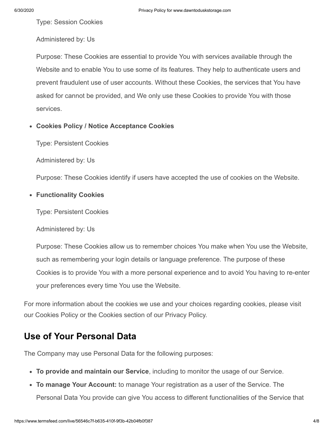Type: Session Cookies

#### Administered by: Us

Purpose: These Cookies are essential to provide You with services available through the Website and to enable You to use some of its features. They help to authenticate users and prevent fraudulent use of user accounts. Without these Cookies, the services that You have asked for cannot be provided, and We only use these Cookies to provide You with those services.

#### **Cookies Policy / Notice Acceptance Cookies**

Type: Persistent Cookies

Administered by: Us

Purpose: These Cookies identify if users have accepted the use of cookies on the Website.

#### **Functionality Cookies**

Type: Persistent Cookies

Administered by: Us

Purpose: These Cookies allow us to remember choices You make when You use the Website, such as remembering your login details or language preference. The purpose of these Cookies is to provide You with a more personal experience and to avoid You having to re-enter your preferences every time You use the Website.

For more information about the cookies we use and your choices regarding cookies, please visit our Cookies Policy or the Cookies section of our Privacy Policy.

### **Use of Your Personal Data**

The Company may use Personal Data for the following purposes:

- **To provide and maintain our Service**, including to monitor the usage of our Service.
- **To manage Your Account:** to manage Your registration as a user of the Service. The Personal Data You provide can give You access to different functionalities of the Service that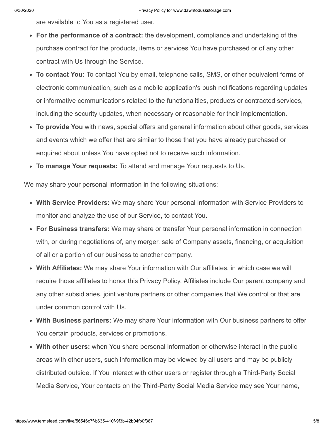are available to You as a registered user.

- **For the performance of a contract:** the development, compliance and undertaking of the purchase contract for the products, items or services You have purchased or of any other contract with Us through the Service.
- **To contact You:** To contact You by email, telephone calls, SMS, or other equivalent forms of electronic communication, such as a mobile application's push notifications regarding updates or informative communications related to the functionalities, products or contracted services, including the security updates, when necessary or reasonable for their implementation.
- **To provide You** with news, special offers and general information about other goods, services and events which we offer that are similar to those that you have already purchased or enquired about unless You have opted not to receive such information.
- **To manage Your requests:** To attend and manage Your requests to Us.

We may share your personal information in the following situations:

- **With Service Providers:** We may share Your personal information with Service Providers to monitor and analyze the use of our Service, to contact You.
- **For Business transfers:** We may share or transfer Your personal information in connection with, or during negotiations of, any merger, sale of Company assets, financing, or acquisition of all or a portion of our business to another company.
- **With Affiliates:** We may share Your information with Our affiliates, in which case we will require those affiliates to honor this Privacy Policy. Affiliates include Our parent company and any other subsidiaries, joint venture partners or other companies that We control or that are under common control with Us.
- **With Business partners:** We may share Your information with Our business partners to offer You certain products, services or promotions.
- **With other users:** when You share personal information or otherwise interact in the public areas with other users, such information may be viewed by all users and may be publicly distributed outside. If You interact with other users or register through a Third-Party Social Media Service, Your contacts on the Third-Party Social Media Service may see Your name,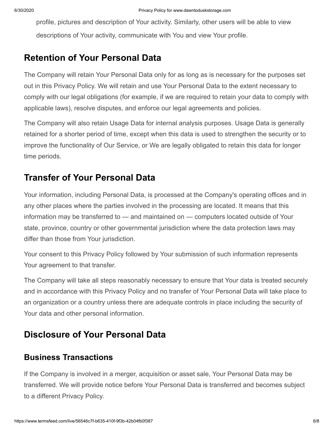profile, pictures and description of Your activity. Similarly, other users will be able to view descriptions of Your activity, communicate with You and view Your profile.

### **Retention of Your Personal Data**

The Company will retain Your Personal Data only for as long as is necessary for the purposes set out in this Privacy Policy. We will retain and use Your Personal Data to the extent necessary to comply with our legal obligations (for example, if we are required to retain your data to comply with applicable laws), resolve disputes, and enforce our legal agreements and policies.

The Company will also retain Usage Data for internal analysis purposes. Usage Data is generally retained for a shorter period of time, except when this data is used to strengthen the security or to improve the functionality of Our Service, or We are legally obligated to retain this data for longer time periods.

### **Transfer of Your Personal Data**

Your information, including Personal Data, is processed at the Company's operating offices and in any other places where the parties involved in the processing are located. It means that this information may be transferred to — and maintained on — computers located outside of Your state, province, country or other governmental jurisdiction where the data protection laws may differ than those from Your jurisdiction.

Your consent to this Privacy Policy followed by Your submission of such information represents Your agreement to that transfer.

The Company will take all steps reasonably necessary to ensure that Your data is treated securely and in accordance with this Privacy Policy and no transfer of Your Personal Data will take place to an organization or a country unless there are adequate controls in place including the security of Your data and other personal information.

### **Disclosure of Your Personal Data**

### **Business Transactions**

If the Company is involved in a merger, acquisition or asset sale, Your Personal Data may be transferred. We will provide notice before Your Personal Data is transferred and becomes subject to a different Privacy Policy.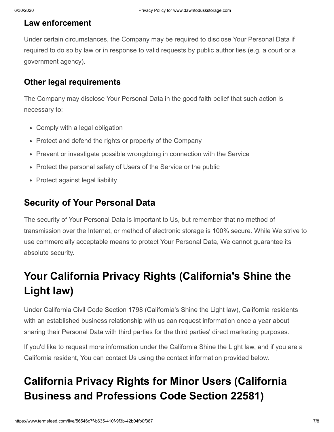#### **Law enforcement**

Under certain circumstances, the Company may be required to disclose Your Personal Data if required to do so by law or in response to valid requests by public authorities (e.g. a court or a government agency).

#### **Other legal requirements**

The Company may disclose Your Personal Data in the good faith belief that such action is necessary to:

- Comply with a legal obligation
- Protect and defend the rights or property of the Company
- Prevent or investigate possible wrongdoing in connection with the Service
- Protect the personal safety of Users of the Service or the public
- Protect against legal liability

### **Security of Your Personal Data**

The security of Your Personal Data is important to Us, but remember that no method of transmission over the Internet, or method of electronic storage is 100% secure. While We strive to use commercially acceptable means to protect Your Personal Data, We cannot guarantee its absolute security.

# **Your California Privacy Rights (California's Shine the Light law)**

Under California Civil Code Section 1798 (California's Shine the Light law), California residents with an established business relationship with us can request information once a year about sharing their Personal Data with third parties for the third parties' direct marketing purposes.

If you'd like to request more information under the California Shine the Light law, and if you are a California resident, You can contact Us using the contact information provided below.

# **California Privacy Rights for Minor Users (California Business and Professions Code Section 22581)**